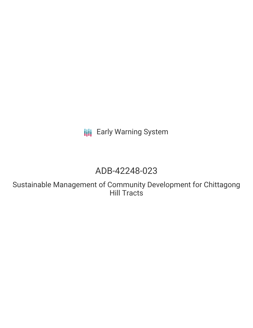**III** Early Warning System

# ADB-42248-023

Sustainable Management of Community Development for Chittagong Hill Tracts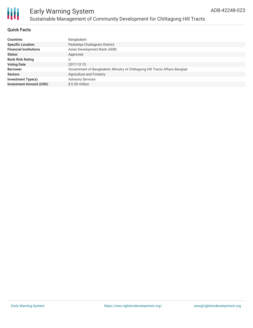

#### **Quick Facts**

| <b>Countries</b>               | Bangladesh                                                                   |
|--------------------------------|------------------------------------------------------------------------------|
| <b>Specific Location</b>       | Parbattya Chattagram District                                                |
| <b>Financial Institutions</b>  | Asian Development Bank (ADB)                                                 |
| <b>Status</b>                  | Approved                                                                     |
| <b>Bank Risk Rating</b>        | U                                                                            |
| <b>Voting Date</b>             | 2017-12-15                                                                   |
| <b>Borrower</b>                | Government of Bangladesh; Ministry of Chittagong Hill Tracts Affairs Banglad |
| <b>Sectors</b>                 | Agriculture and Forestry                                                     |
| Investment Type(s)             | <b>Advisory Services</b>                                                     |
| <b>Investment Amount (USD)</b> | $$0.50$ million                                                              |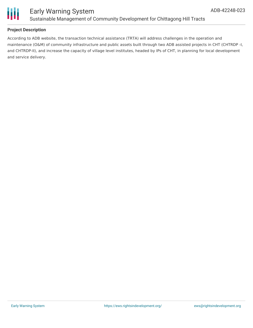

#### **Project Description**

According to ADB website, the transaction technical assistance (TRTA) will address challenges in the operation and maintenance (O&M) of community infrastructure and public assets built through two ADB assisted projects in CHT (CHTRDP -I, and CHTRDP-II), and increase the capacity of village level institutes, headed by IPs of CHT, in planning for local development and service delivery.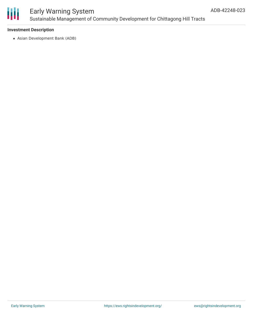

#### **Investment Description**

Asian Development Bank (ADB)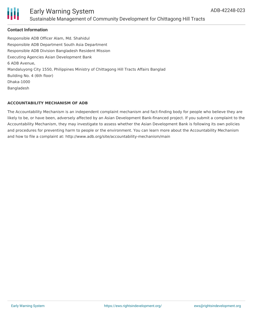

#### **Contact Information**

Responsible ADB Officer Alam, Md. Shahidul Responsible ADB Department South Asia Department Responsible ADB Division Bangladesh Resident Mission Executing Agencies Asian Development Bank 6 ADB Avenue, Mandaluyong City 1550, Philippines Ministry of Chittagong Hill Tracts Affairs Banglad Building No. 4 (6th floor) Dhaka-1000 Bangladesh

#### **ACCOUNTABILITY MECHANISM OF ADB**

The Accountability Mechanism is an independent complaint mechanism and fact-finding body for people who believe they are likely to be, or have been, adversely affected by an Asian Development Bank-financed project. If you submit a complaint to the Accountability Mechanism, they may investigate to assess whether the Asian Development Bank is following its own policies and procedures for preventing harm to people or the environment. You can learn more about the Accountability Mechanism and how to file a complaint at: http://www.adb.org/site/accountability-mechanism/main